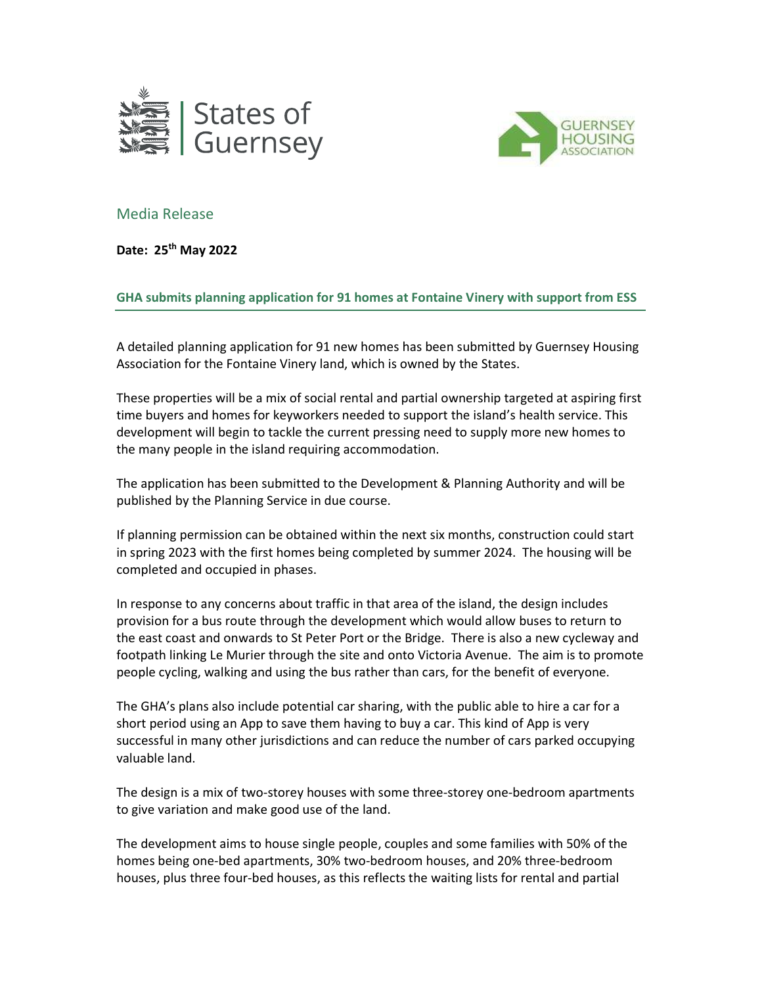



## Media Release

Date: 25th May 2022

GHA submits planning application for 91 homes at Fontaine Vinery with support from ESS

A detailed planning application for 91 new homes has been submitted by Guernsey Housing Association for the Fontaine Vinery land, which is owned by the States.

These properties will be a mix of social rental and partial ownership targeted at aspiring first time buyers and homes for keyworkers needed to support the island's health service. This development will begin to tackle the current pressing need to supply more new homes to the many people in the island requiring accommodation.

The application has been submitted to the Development & Planning Authority and will be published by the Planning Service in due course.

If planning permission can be obtained within the next six months, construction could start in spring 2023 with the first homes being completed by summer 2024. The housing will be completed and occupied in phases.

In response to any concerns about traffic in that area of the island, the design includes provision for a bus route through the development which would allow buses to return to the east coast and onwards to St Peter Port or the Bridge. There is also a new cycleway and footpath linking Le Murier through the site and onto Victoria Avenue. The aim is to promote people cycling, walking and using the bus rather than cars, for the benefit of everyone.

The GHA's plans also include potential car sharing, with the public able to hire a car for a short period using an App to save them having to buy a car. This kind of App is very successful in many other jurisdictions and can reduce the number of cars parked occupying valuable land.

The design is a mix of two-storey houses with some three-storey one-bedroom apartments to give variation and make good use of the land.

The development aims to house single people, couples and some families with 50% of the homes being one-bed apartments, 30% two-bedroom houses, and 20% three-bedroom houses, plus three four-bed houses, as this reflects the waiting lists for rental and partial